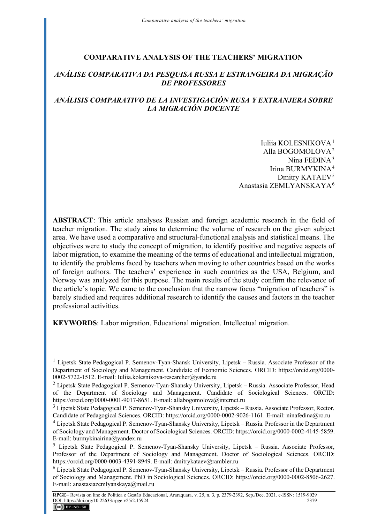### **COMPARATIVE ANALYSIS OF THE TEACHERS' MIGRATION**

## *ANÁLISE COMPARATIVA DA PESQUISA RUSSA E ESTRANGEIRA DA MIGRAÇÃO DE PROFESSORES*

## *ANÁLISIS COMPARATIVO DE LA INVESTIGACIÓN RUSA Y EXTRANJERA SOBRE LA MIGRACIÓN DOCENTE*

Iuliia KOLESNIKOVA[1](#page-0-0) Alla BOGOMOLOVA[2](#page-0-1) Nina FEDINA<sup>[3](#page-0-2)</sup> Irina BURMYKINA[4](#page-0-3) Dmitry KATAEV<sup>[5](#page-0-4)</sup> Anastasia ZEMLYANSKAYA[6](#page-0-5)

**ABSTRACT**: This article analyses Russian and foreign academic research in the field of teacher migration. The study aims to determine the volume of research on the given subject area. We have used a comparative and structural-functional analysis and statistical means. The objectives were to study the concept of migration, to identify positive and negative aspects of labor migration, to examine the meaning of the terms of educational and intellectual migration, to identify the problems faced by teachers when moving to other countries based on the works of foreign authors. The teachers' experience in such countries as the USA, Belgium, and Norway was analyzed for this purpose. The main results of the study confirm the relevance of the article's topic. We came to the conclusion that the narrow focus "migration of teachers" is barely studied and requires additional research to identify the causes and factors in the teacher professional activities.

**KEYWORDS**: Labor migration. Educational migration. Intellectual migration.

<span id="page-0-0"></span><sup>&</sup>lt;sup>1</sup> Lipetsk State Pedagogical P. Semenov-Tyan-Shansk University, Lipetsk – Russia. Associate Professor of the Department of Sociology and Management. Candidate of Economic Sciences. ORCID: https://orcid.org/0000- 0002-5722-1512. E-mail: Iuliia.kolesnikova-researcher@yande.ru

<span id="page-0-1"></span><sup>&</sup>lt;sup>2</sup> Lipetsk State Pedagogical P. Semenov-Tyan-Shansky University, Lipetsk – Russia. Associate Professor, Head of the Department of Sociology and Management. Candidate of Sociological Sciences. ORCID: https://orcid.org/0000-0001-9017-8651. E-mail: allabogomolova@internet.ru

<span id="page-0-2"></span><sup>&</sup>lt;sup>3</sup> Lipetsk State Pedagogical P. Semenov-Tyan-Shansky University, Lipetsk – Russia. Associate Professor, Rector. Candidate of Pedagogical Sciences. ORCID: https://orcid.org/0000-0002-9026-1161. E-mail: ninafedina@ro.ru

<span id="page-0-3"></span><sup>4</sup> Lipetsk State Pedagogical P. Semenov-Tyan-Shansky University, Lipetsk – Russia. Professor in the Department of Sociology and Management. Doctor of Sociological Sciences. ORCID: https://orcid.org/0000-0002-4145-5859. E-mail: burmykinairina@yandex.ru

<span id="page-0-4"></span><sup>5</sup> Lipetsk State Pedagogical P. Semenov-Tyan-Shansky University, Lipetsk – Russia. Associate Professor, Professor of the Department of Sociology and Management. Doctor of Sociological Sciences. ORCID: https://orcid.org/0000-0003-4391-8949. E-mail: dmitrykataev@rambler.ru

<span id="page-0-5"></span><sup>6</sup> Lipetsk State Pedagogical P. Semenov-Tyan-Shansky University, Lipetsk – Russia. Professor of the Department of Sociology and Management. PhD in Sociological Sciences. ORCID: https://orcid.org/0000-0002-8506-2627. E-mail: anastasiazemlyanskaya@mail.ru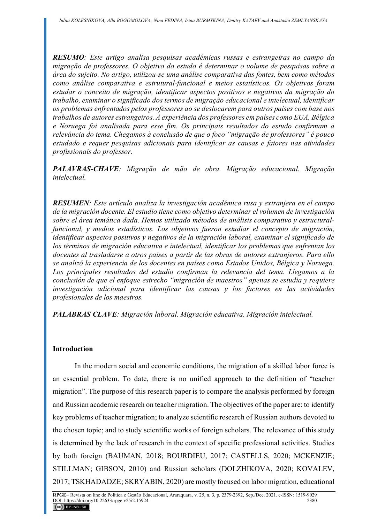*RESUMO: Este artigo analisa pesquisas acadêmicas russas e estrangeiras no campo da migração de professores. O objetivo do estudo é determinar o volume de pesquisas sobre a área do sujeito. No artigo, utilizou-se uma análise comparativa das fontes, bem como métodos como análise comparativa e estrutural-funcional e meios estatísticos. Os objetivos foram estudar o conceito de migração, identificar aspectos positivos e negativos da migração do trabalho, examinar o significado dos termos de migração educacional e intelectual, identificar os problemas enfrentados pelos professores ao se deslocarem para outros países com base nos trabalhos de autores estrangeiros. A experiência dos professores em países como EUA, Bélgica e Noruega foi analisada para esse fim. Os principais resultados do estudo confirmam a relevância do tema. Chegamos à conclusão de que o foco "migração de professores" é pouco estudado e requer pesquisas adicionais para identificar as causas e fatores nas atividades profissionais do professor.*

*PALAVRAS-CHAVE: Migração de mão de obra. Migração educacional. Migração intelectual.*

*RESUMEN: Este artículo analiza la investigación académica rusa y extranjera en el campo de la migración docente. El estudio tiene como objetivo determinar el volumen de investigación sobre el área temática dada. Hemos utilizado métodos de análisis comparativo y estructuralfuncional, y medios estadísticos. Los objetivos fueron estudiar el concepto de migración, identificar aspectos positivos y negativos de la migración laboral, examinar el significado de los términos de migración educativa e intelectual, identificar los problemas que enfrentan los docentes al trasladarse a otros países a partir de las obras de autores extranjeros. Para ello se analizó la experiencia de los docentes en países como Estados Unidos, Bélgica y Noruega. Los principales resultados del estudio confirman la relevancia del tema. Llegamos a la conclusión de que el enfoque estrecho "migración de maestros" apenas se estudia y requiere investigación adicional para identificar las causas y los factores en las actividades profesionales de los maestros.*

*PALABRAS CLAVE: Migración laboral. Migración educativa. Migración intelectual.*

#### **Introduction**

In the modern social and economic conditions, the migration of a skilled labor force is an essential problem. To date, there is no unified approach to the definition of "teacher migration". The purpose of this research paper is to compare the analysis performed by foreign and Russian academic research on teacher migration. The objectives of the paper are: to identify key problems of teacher migration; to analyze scientific research of Russian authors devoted to the chosen topic; and to study scientific works of foreign scholars. The relevance of this study is determined by the lack of research in the context of specific professional activities. Studies by both foreign (BAUMAN, 2018; BOURDIEU, 2017; CASTELLS, 2020; MCKENZIE; STILLMAN; GIBSON, 2010) and Russian scholars (DOLZHIKOVA, 2020; KOVALEV, 2017; TSKHADADZE; SKRYABIN, 2020) are mostly focused on labor migration, educational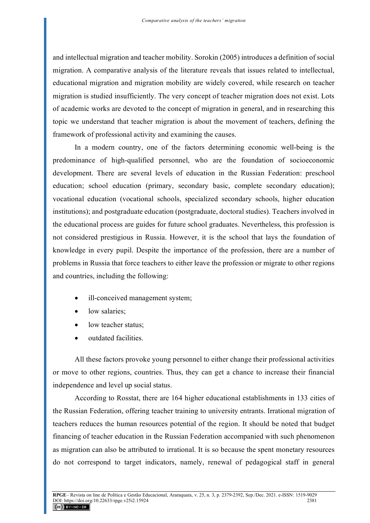and intellectual migration and teacher mobility. Sorokin (2005) introduces a definition of social migration. A comparative analysis of the literature reveals that issues related to intellectual, educational migration and migration mobility are widely covered, while research on teacher migration is studied insufficiently. The very concept of teacher migration does not exist. Lots of academic works are devoted to the concept of migration in general, and in researching this topic we understand that teacher migration is about the movement of teachers, defining the framework of professional activity and examining the causes.

In a modern country, one of the factors determining economic well-being is the predominance of high-qualified personnel, who are the foundation of socioeconomic development. There are several levels of education in the Russian Federation: preschool education; school education (primary, secondary basic, complete secondary education); vocational education (vocational schools, specialized secondary schools, higher education institutions); and postgraduate education (postgraduate, doctoral studies). Teachers involved in the educational process are guides for future school graduates. Nevertheless, this profession is not considered prestigious in Russia. However, it is the school that lays the foundation of knowledge in every pupil. Despite the importance of the profession, there are a number of problems in Russia that force teachers to either leave the profession or migrate to other regions and countries, including the following:

- ill-conceived management system;
- low salaries;
- low teacher status:
- outdated facilities.

All these factors provoke young personnel to either change their professional activities or move to other regions, countries. Thus, they can get a chance to increase their financial independence and level up social status.

According to Rosstat, there are 164 higher educational establishments in 133 cities of the Russian Federation, offering teacher training to university entrants. Irrational migration of teachers reduces the human resources potential of the region. It should be noted that budget financing of teacher education in the Russian Federation accompanied with such phenomenon as migration can also be attributed to irrational. It is so because the spent monetary resources do not correspond to target indicators, namely, renewal of pedagogical staff in general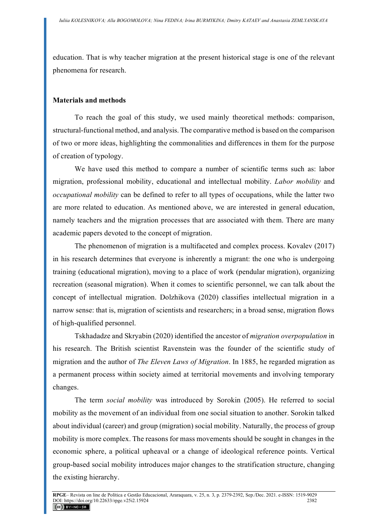education. That is why teacher migration at the present historical stage is one of the relevant phenomena for research.

## **Materials and methods**

To reach the goal of this study, we used mainly theoretical methods: comparison, structural-functional method, and analysis. The comparative method is based on the comparison of two or more ideas, highlighting the commonalities and differences in them for the purpose of creation of typology.

We have used this method to compare a number of scientific terms such as: labor migration, professional mobility, educational and intellectual mobility. *Labor mobility* and *occupational mobility* can be defined to refer to all types of occupations, while the latter two are more related to education. As mentioned above, we are interested in general education, namely teachers and the migration processes that are associated with them. There are many academic papers devoted to the concept of migration.

The phenomenon of migration is a multifaceted and complex process. Kovalev (2017) in his research determines that everyone is inherently a migrant: the one who is undergoing training (educational migration), moving to a place of work (pendular migration), organizing recreation (seasonal migration). When it comes to scientific personnel, we can talk about the concept of intellectual migration. Dolzhikova (2020) classifies intellectual migration in a narrow sense: that is, migration of scientists and researchers; in a broad sense, migration flows of high-qualified personnel.

Tskhadadze and Skryabin (2020) identified the ancestor of *migration overpopulation* in his research. The British scientist Ravenstein was the founder of the scientific study of migration and the author of *The Eleven Laws of Migration*. In 1885, he regarded migration as a permanent process within society aimed at territorial movements and involving temporary changes.

The term *social mobility* was introduced by Sorokin (2005). He referred to social mobility as the movement of an individual from one social situation to another. Sorokin talked about individual (career) and group (migration) social mobility. Naturally, the process of group mobility is more complex. The reasons for mass movements should be sought in changes in the economic sphere, a political upheaval or a change of ideological reference points. Vertical group-based social mobility introduces major changes to the stratification structure, changing the existing hierarchy.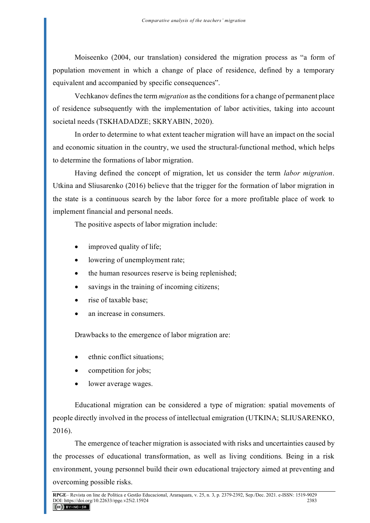Moiseenko (2004, our translation) considered the migration process as "a form of population movement in which a change of place of residence, defined by a temporary equivalent and accompanied by specific consequences".

Vechkanov defines the term *migration* as the conditions for a change of permanent place of residence subsequently with the implementation of labor activities, taking into account societal needs (TSKHADADZE; SKRYABIN, 2020).

In order to determine to what extent teacher migration will have an impact on the social and economic situation in the country, we used the structural-functional method, which helps to determine the formations of labor migration.

Having defined the concept of migration, let us consider the term *labor migration*. Utkina and Sliusarenko (2016) believe that the trigger for the formation of labor migration in the state is a continuous search by the labor force for a more profitable place of work to implement financial and personal needs.

The positive aspects of labor migration include:

- improved quality of life;
- lowering of unemployment rate;
- the human resources reserve is being replenished;
- savings in the training of incoming citizens;
- rise of taxable base;
- an increase in consumers.

Drawbacks to the emergence of labor migration are:

- ethnic conflict situations;
- competition for jobs;
- lower average wages.

Educational migration can be considered a type of migration: spatial movements of people directly involved in the process of intellectual emigration (UTKINA; SLIUSARENKO, 2016).

The emergence of teacher migration is associated with risks and uncertainties caused by the processes of educational transformation, as well as living conditions. Being in a risk environment, young personnel build their own educational trajectory aimed at preventing and overcoming possible risks.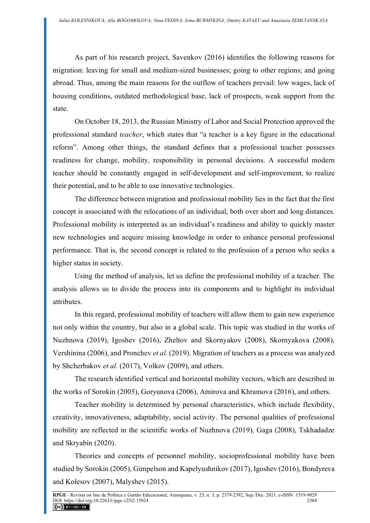As part of his research project, Savenkov (2016) identifies the following reasons for migration: leaving for small and medium-sized businesses; going to other regions; and going abroad. Thus, among the main reasons for the outflow of teachers prevail: low wages, lack of housing conditions, outdated methodological base, lack of prospects, weak support from the state.

On October 18, 2013, the Russian Ministry of Labor and Social Protection approved the professional standard *teacher*, which states that "a teacher is a key figure in the educational reform". Among other things, the standard defines that a professional teacher possesses readiness for change, mobility, responsibility in personal decisions. A successful modern teacher should be constantly engaged in self-development and self-improvement, to realize their potential, and to be able to use innovative technologies.

The difference between migration and professional mobility lies in the fact that the first concept is associated with the relocations of an individual, both over short and long distances. Professional mobility is interpreted as an individual's readiness and ability to quickly master new technologies and acquire missing knowledge in order to enhance personal professional performance. That is, the second concept is related to the profession of a person who seeks a higher status in society.

Using the method of analysis, let us define the professional mobility of a teacher. The analysis allows us to divide the process into its components and to highlight its individual attributes.

In this regard, professional mobility of teachers will allow them to gain new experience not only within the country, but also in a global scale. This topic was studied in the works of Nuzhnova (2019), Igoshev (2016), Zheltov and Skornyakov (2008), Skornyakova (2008), Vershinina (2006), and Pronchev *et al.* (2019). Migration of teachers as a process was analyzed by Shcherbakov *et al.* (2017), Volkov (2009), and others.

The research identified vertical and horizontal mobility vectors, which are described in the works of Sorokin (2005), Goryunova (2006), Amirova and Khramova (2016), and others.

Teacher mobility is determined by personal characteristics, which include flexibility, creativity, innovativeness, adaptability, social activity. The personal qualities of professional mobility are reflected in the scientific works of Nuzhnova (2019), Gaga (2008), Tskhadadze and Skryabin (2020).

Theories and concepts of personnel mobility, socioprofessional mobility have been studied by Sorokin (2005), Gimpelson and Kapelyushnikov (2017), Igoshev (2016), Bondyreva and Kolesov (2007), Malyshev (2015).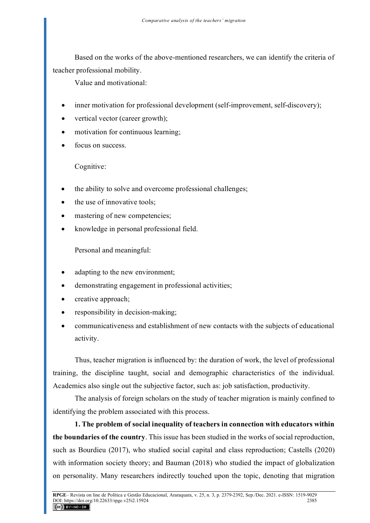Based on the works of the above-mentioned researchers, we can identify the criteria of teacher professional mobility.

Value and motivational:

- inner motivation for professional development (self-improvement, self-discovery);
- vertical vector (career growth);
- motivation for continuous learning;
- focus on success.

Cognitive:

- the ability to solve and overcome professional challenges;
- the use of innovative tools;
- mastering of new competencies;
- knowledge in personal professional field.

Personal and meaningful:

- adapting to the new environment;
- demonstrating engagement in professional activities;
- creative approach;
- responsibility in decision-making;
- communicativeness and establishment of new contacts with the subjects of educational activity.

Thus, teacher migration is influenced by: the duration of work, the level of professional training, the discipline taught, social and demographic characteristics of the individual. Academics also single out the subjective factor, such as: job satisfaction, productivity.

The analysis of foreign scholars on the study of teacher migration is mainly confined to identifying the problem associated with this process.

**1. The problem of social inequality of teachers in connection with educators within the boundaries of the country**. This issue has been studied in the works of social reproduction, such as Bourdieu (2017), who studied social capital and class reproduction; Castells (2020) with information society theory; and Bauman (2018) who studied the impact of globalization on personality. Many researchers indirectly touched upon the topic, denoting that migration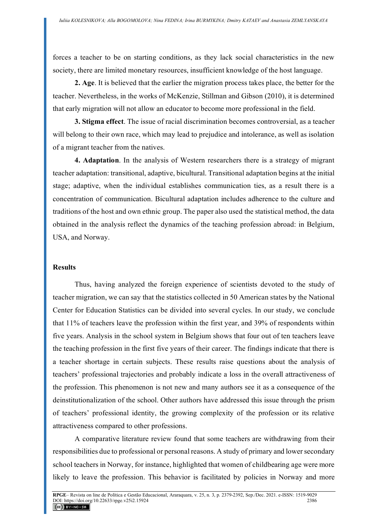forces a teacher to be on starting conditions, as they lack social characteristics in the new society, there are limited monetary resources, insufficient knowledge of the host language.

**2. Age**. It is believed that the earlier the migration process takes place, the better for the teacher. Nevertheless, in the works of McKenzie, Stillman and Gibson (2010), it is determined that early migration will not allow an educator to become more professional in the field.

**3. Stigma effect**. The issue of racial discrimination becomes controversial, as a teacher will belong to their own race, which may lead to prejudice and intolerance, as well as isolation of a migrant teacher from the natives.

**4. Adaptation**. In the analysis of Western researchers there is a strategy of migrant teacher adaptation: transitional, adaptive, bicultural. Transitional adaptation begins at the initial stage; adaptive, when the individual establishes communication ties, as a result there is a concentration of communication. Bicultural adaptation includes adherence to the culture and traditions of the host and own ethnic group. The paper also used the statistical method, the data obtained in the analysis reflect the dynamics of the teaching profession abroad: in Belgium, USA, and Norway.

#### **Results**

Thus, having analyzed the foreign experience of scientists devoted to the study of teacher migration, we can say that the statistics collected in 50 American states by the National Center for Education Statistics can be divided into several cycles. In our study, we conclude that 11% of teachers leave the profession within the first year, and 39% of respondents within five years. Analysis in the school system in Belgium shows that four out of ten teachers leave the teaching profession in the first five years of their career. The findings indicate that there is a teacher shortage in certain subjects. These results raise questions about the analysis of teachers' professional trajectories and probably indicate a loss in the overall attractiveness of the profession. This phenomenon is not new and many authors see it as a consequence of the deinstitutionalization of the school. Other authors have addressed this issue through the prism of teachers' professional identity, the growing complexity of the profession or its relative attractiveness compared to other professions.

A comparative literature review found that some teachers are withdrawing from their responsibilities due to professional or personal reasons. A study of primary and lower secondary school teachers in Norway, for instance, highlighted that women of childbearing age were more likely to leave the profession. This behavior is facilitated by policies in Norway and more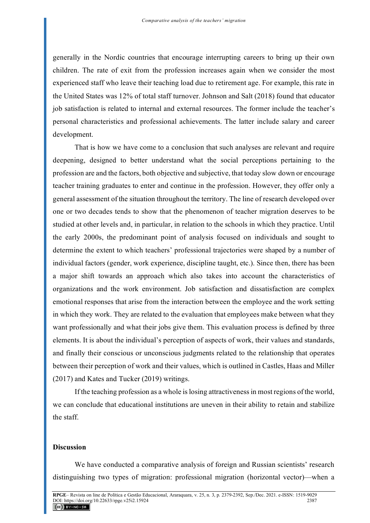generally in the Nordic countries that encourage interrupting careers to bring up their own children. The rate of exit from the profession increases again when we consider the most experienced staff who leave their teaching load due to retirement age. For example, this rate in the United States was 12% of total staff turnover. Johnson and Salt (2018) found that educator job satisfaction is related to internal and external resources. The former include the teacher's personal characteristics and professional achievements. The latter include salary and career development.

That is how we have come to a conclusion that such analyses are relevant and require deepening, designed to better understand what the social perceptions pertaining to the profession are and the factors, both objective and subjective, that today slow down or encourage teacher training graduates to enter and continue in the profession. However, they offer only a general assessment of the situation throughout the territory. The line of research developed over one or two decades tends to show that the phenomenon of teacher migration deserves to be studied at other levels and, in particular, in relation to the schools in which they practice. Until the early 2000s, the predominant point of analysis focused on individuals and sought to determine the extent to which teachers' professional trajectories were shaped by a number of individual factors (gender, work experience, discipline taught, etc.). Since then, there has been a major shift towards an approach which also takes into account the characteristics of organizations and the work environment. Job satisfaction and dissatisfaction are complex emotional responses that arise from the interaction between the employee and the work setting in which they work. They are related to the evaluation that employees make between what they want professionally and what their jobs give them. This evaluation process is defined by three elements. It is about the individual's perception of aspects of work, their values and standards, and finally their conscious or unconscious judgments related to the relationship that operates between their perception of work and their values, which is outlined in Castles, Haas and Miller (2017) and Kates and Tucker (2019) writings.

If the teaching profession as a whole is losing attractiveness in most regions of the world, we can conclude that educational institutions are uneven in their ability to retain and stabilize the staff.

#### **Discussion**

We have conducted a comparative analysis of foreign and Russian scientists' research distinguishing two types of migration: professional migration (horizontal vector)—when a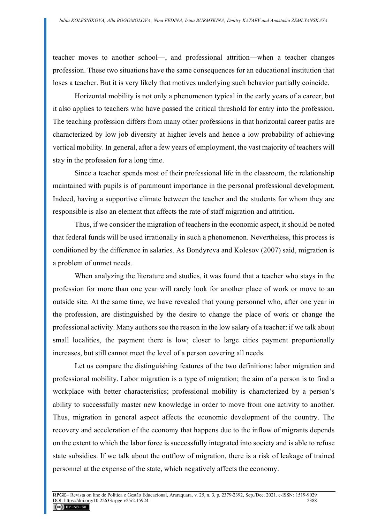teacher moves to another school—, and professional attrition—when a teacher changes profession. These two situations have the same consequences for an educational institution that loses a teacher. But it is very likely that motives underlying such behavior partially coincide.

Horizontal mobility is not only a phenomenon typical in the early years of a career, but it also applies to teachers who have passed the critical threshold for entry into the profession. The teaching profession differs from many other professions in that horizontal career paths are characterized by low job diversity at higher levels and hence a low probability of achieving vertical mobility. In general, after a few years of employment, the vast majority of teachers will stay in the profession for a long time.

Since a teacher spends most of their professional life in the classroom, the relationship maintained with pupils is of paramount importance in the personal professional development. Indeed, having a supportive climate between the teacher and the students for whom they are responsible is also an element that affects the rate of staff migration and attrition.

Thus, if we consider the migration of teachers in the economic aspect, it should be noted that federal funds will be used irrationally in such a phenomenon. Nevertheless, this process is conditioned by the difference in salaries. As Bondyreva and Kolesov (2007) said, migration is a problem of unmet needs.

When analyzing the literature and studies, it was found that a teacher who stays in the profession for more than one year will rarely look for another place of work or move to an outside site. At the same time, we have revealed that young personnel who, after one year in the profession, are distinguished by the desire to change the place of work or change the professional activity. Many authors see the reason in the low salary of a teacher: if we talk about small localities, the payment there is low; closer to large cities payment proportionally increases, but still cannot meet the level of a person covering all needs.

Let us compare the distinguishing features of the two definitions: labor migration and professional mobility. Labor migration is a type of migration; the aim of a person is to find a workplace with better characteristics; professional mobility is characterized by a person's ability to successfully master new knowledge in order to move from one activity to another. Thus, migration in general aspect affects the economic development of the country. The recovery and acceleration of the economy that happens due to the inflow of migrants depends on the extent to which the labor force is successfully integrated into society and is able to refuse state subsidies. If we talk about the outflow of migration, there is a risk of leakage of trained personnel at the expense of the state, which negatively affects the economy.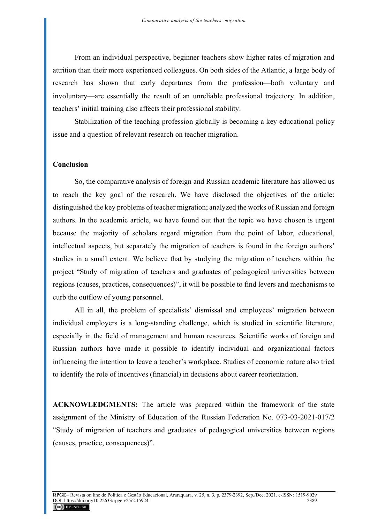From an individual perspective, beginner teachers show higher rates of migration and attrition than their more experienced colleagues. On both sides of the Atlantic, a large body of research has shown that early departures from the profession—both voluntary and involuntary—are essentially the result of an unreliable professional trajectory. In addition, teachers' initial training also affects their professional stability.

Stabilization of the teaching profession globally is becoming a key educational policy issue and a question of relevant research on teacher migration.

#### **Conclusion**

So, the comparative analysis of foreign and Russian academic literature has allowed us to reach the key goal of the research. We have disclosed the objectives of the article: distinguished the key problems of teacher migration; analyzed the works of Russian and foreign authors. In the academic article, we have found out that the topic we have chosen is urgent because the majority of scholars regard migration from the point of labor, educational, intellectual aspects, but separately the migration of teachers is found in the foreign authors' studies in a small extent. We believe that by studying the migration of teachers within the project "Study of migration of teachers and graduates of pedagogical universities between regions (causes, practices, consequences)", it will be possible to find levers and mechanisms to curb the outflow of young personnel.

All in all, the problem of specialists' dismissal and employees' migration between individual employers is a long-standing challenge, which is studied in scientific literature, especially in the field of management and human resources. Scientific works of foreign and Russian authors have made it possible to identify individual and organizational factors influencing the intention to leave a teacher's workplace. Studies of economic nature also tried to identify the role of incentives (financial) in decisions about career reorientation.

**ACKNOWLEDGMENTS:** The article was prepared within the framework of the state assignment of the Ministry of Education of the Russian Federation No. 073-03-2021-017/2 "Study of migration of teachers and graduates of pedagogical universities between regions (causes, practice, consequences)".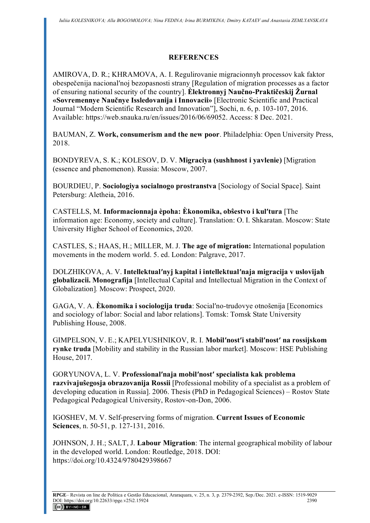# **REFERENCES**

AMIROVA, D. R.; KHRAMOVA, A. I. Regulirovanie migracionnyh processov kak faktor obespečenija nacionalʹnoj bezopasnosti strany [Regulation of migration processes as a factor of ensuring national security of the country]. **Èlektronnyj Naučno-Praktičeskij Žurnal «Sovremennye Naučnye Issledovanija i Innovacii»** [Electronic Scientific and Practical Journal "Modern Scientific Research and Innovation"], Sochi, n. 6, p. 103-107, 2016. Available: https://web.snauka.ru/en/issues/2016/06/69052. Access: 8 Dec. 2021.

BAUMAN, Z. **Work, consumerism and the new poor**. Philadelphia: Open University Press, 2018.

BONDYREVA, S. K.; KOLESOV, D. V. **Migraciya (sushhnost i yavlenie)** [Migration (essence and phenomenon). Russia: Moscow, 2007.

BOURDIEU, P. **Sociologiya socialnogo prostranstva** [Sociology of Social Space]. Saint Petersburg: Aletheia, 2016.

CASTELLS, M. **Informacionnaja èpoha: Èkonomika, obŝestvo i kulʹtura** [The information age: Economy, society and culture]. Translation: O. I. Shkaratan. Moscow: State University Higher School of Economics, 2020.

CASTLES, S.; HAAS, H.; MILLER, M. J. **The age of migration:** International population movements in the modern world. 5. ed. London: Palgrave, 2017.

DOLZHIKOVA, A. V. **Intellektualʹnyj kapital i intellektualʹnaja migracija v uslovijah globalizacii. Monografija** [Intellectual Capital and Intellectual Migration in the Context of Globalization]*.* Moscow: Prospect, 2020.

GAGA, V. A. **Èkonomika i sociologija truda**: Socialʹno-trudovye otnošenija [Economics and sociology of labor: Social and labor relations]. Tomsk: Tomsk State University Publishing House, 2008.

GIMPELSON, V. E.; KAPELYUSHNIKOV, R. I. **Mobilʹnostʹi stabilʹnostʹ na rossijskom rynke truda** [Mobility and stability in the Russian labor market]. Moscow: HSE Publishing House, 2017.

GORYUNOVA, L. V. **Professionalʹnaja mobilʹnostʹ specialista kak problema razvivajuŝegosja obrazovanija Rossii** [Professional mobility of a specialist as a problem of developing education in Russia]. 2006. Thesis (PhD in Pedagogical Sciences) – Rostov State Pedagogical Pedagogical University, Rostov-on-Don, 2006.

IGOSHEV, M. V. Self-preserving forms of migration. **Current Issues of Economic Sciences**, n. 50-51, p. 127-131, 2016.

JOHNSON, J. H.; SALT, J. **Labour Migration**: The internal geographical mobility of labour in the developed world. London: Routledge, 2018. DOI: https://doi.org/10.4324/9780429398667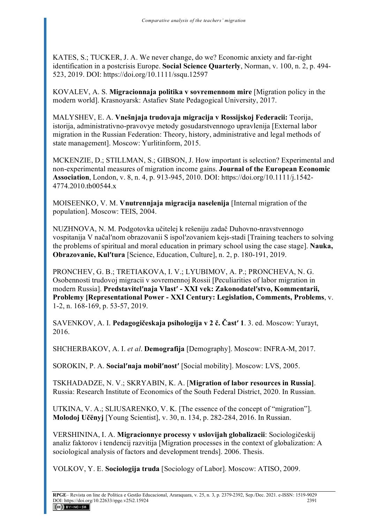KATES, S.; TUCKER, J. A. We never change, do we? Economic anxiety and far-right identification in a postcrisis Europe. **Social Science Quarterly**, Norman, v. 100, n. 2, p. 494- 523, 2019. DOI: https://doi.org/10.1111/ssqu.12597

KOVALEV, A. S. **Migracionnaja politika v sovremennom mire** [Migration policy in the modern world]. Krasnoyarsk: Astafiev State Pedagogical University, 2017.

MALYSHEV, E. A. **Vnešnjaja trudovaja migracija v Rossijskoj Federacii:** Teorija, istorija, administrativno-pravovye metody gosudarstvennogo upravlenija [External labor migration in the Russian Federation: Theory, history, administrative and legal methods of state management]. Moscow: Yurlitinform, 2015.

MCKENZIE, D.; STILLMAN, S.; GIBSON, J. How important is selection? Experimental and non-experimental measures of migration income gains. **Journal of the European Economic Association**, London, v. 8, n. 4, p. 913-945, 2010. DOI: https://doi.org/10.1111/j.1542- 4774.2010.tb00544.x

MOISEENKO, V. M. **Vnutrennjaja migracija naselenija** [Internal migration of the population]. Moscow: TEIS, 2004.

NUZHNOVA, N. M. Podgotovka učitelej k rešeniju zadač Duhovno-nravstvennogo vospitanija V načalʹnom obrazovanii S ispolʹzovaniem kejs-stadi [Training teachers to solving the problems of spiritual and moral education in primary school using the case stage]. **Nauka, Obrazovanie, Kulʹtura** [Science, Education, Culture], n. 2, p. 180-191, 2019.

PRONCHEV, G. B.; TRETIAKOVA, I. V.; LYUBIMOV, A. P.; PRONCHEVA, N. G. Osobennosti trudovoj migracii v sovremennoj Rossii [Peculiarities of labor migration in modern Russia]. **Predstavitelʹnaja Vlastʹ - XXI vek: Zakonodatelʹstvo, Kommentarii, Problemy [Representational Power - XXI Century: Legislation, Comments, Problems**, v. 1-2, n. 168-169, p. 53-57, 2019.

SAVENKOV, A. I. **Pedagogičeskaja psihologija v 2 č. Častʹ 1**. 3. ed. Moscow: Yurayt, 2016.

SHCHERBAKOV, A. I. *et al*. **Demografija** [Demography]. Moscow: INFRA-M, 2017.

SOROKIN, P. A. **Socialʹnaja mobilʹnostʹ** [Social mobility]. Moscow: LVS, 2005.

TSKHADADZE, N. V.; SKRYABIN, K. A. [**Migration of labor resources in Russia]**. Russia: Research Institute of Economics of the South Federal District, 2020. In Russian.

UTKINA, V. A.; SLIUSARENKO, V. K. [The essence of the concept of "migration"]. **Molodoj Učënyj** [Young Scientist], v. 30, n. 134, p. 282-284, 2016. In Russian.

VERSHININA, I. A. **Migracionnye processy v uslovijah globalizacii**: Sociologičeskij analiz faktorov i tendencij razvitija [Migration processes in the context of globalization: A sociological analysis of factors and development trends]. 2006. Thesis.

VOLKOV, Y. E. **Sociologija truda** [Sociology of Labor]. Moscow: ATISO, 2009.